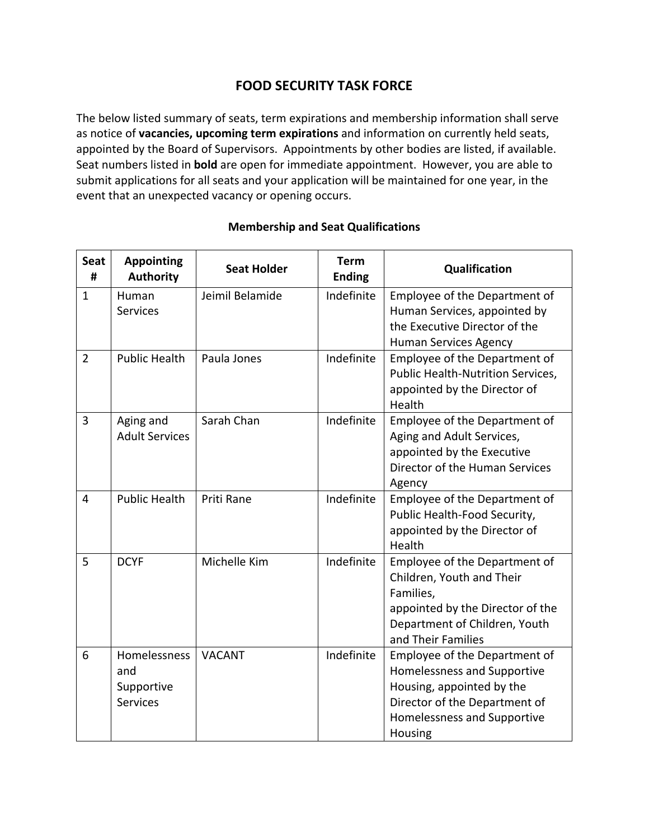## **FOOD SECURITY TASK FORCE**

The below listed summary of seats, term expirations and membership information shall serve as notice of **vacancies, upcoming term expirations** and information on currently held seats, appointed by the Board of Supervisors. Appointments by other bodies are listed, if available. Seat numbers listed in **bold** are open for immediate appointment. However, you are able to submit applications for all seats and your application will be maintained for one year, in the event that an unexpected vacancy or opening occurs.

| <b>Seat</b><br># | <b>Appointing</b><br><b>Authority</b>                | <b>Seat Holder</b> | <b>Term</b><br><b>Ending</b> | Qualification                                                                                                                                                        |
|------------------|------------------------------------------------------|--------------------|------------------------------|----------------------------------------------------------------------------------------------------------------------------------------------------------------------|
| $\mathbf{1}$     | Human<br><b>Services</b>                             | Jeimil Belamide    | Indefinite                   | Employee of the Department of<br>Human Services, appointed by<br>the Executive Director of the<br><b>Human Services Agency</b>                                       |
| $\overline{2}$   | <b>Public Health</b>                                 | Paula Jones        | Indefinite                   | Employee of the Department of<br>Public Health-Nutrition Services,<br>appointed by the Director of<br>Health                                                         |
| 3                | Aging and<br><b>Adult Services</b>                   | Sarah Chan         | Indefinite                   | Employee of the Department of<br>Aging and Adult Services,<br>appointed by the Executive<br>Director of the Human Services<br>Agency                                 |
| 4                | <b>Public Health</b>                                 | Priti Rane         | Indefinite                   | Employee of the Department of<br>Public Health-Food Security,<br>appointed by the Director of<br>Health                                                              |
| 5                | <b>DCYF</b>                                          | Michelle Kim       | Indefinite                   | Employee of the Department of<br>Children, Youth and Their<br>Families,<br>appointed by the Director of the<br>Department of Children, Youth<br>and Their Families   |
| 6                | Homelessness<br>and<br>Supportive<br><b>Services</b> | <b>VACANT</b>      | Indefinite                   | Employee of the Department of<br>Homelessness and Supportive<br>Housing, appointed by the<br>Director of the Department of<br>Homelessness and Supportive<br>Housing |

## **Membership and Seat Qualifications**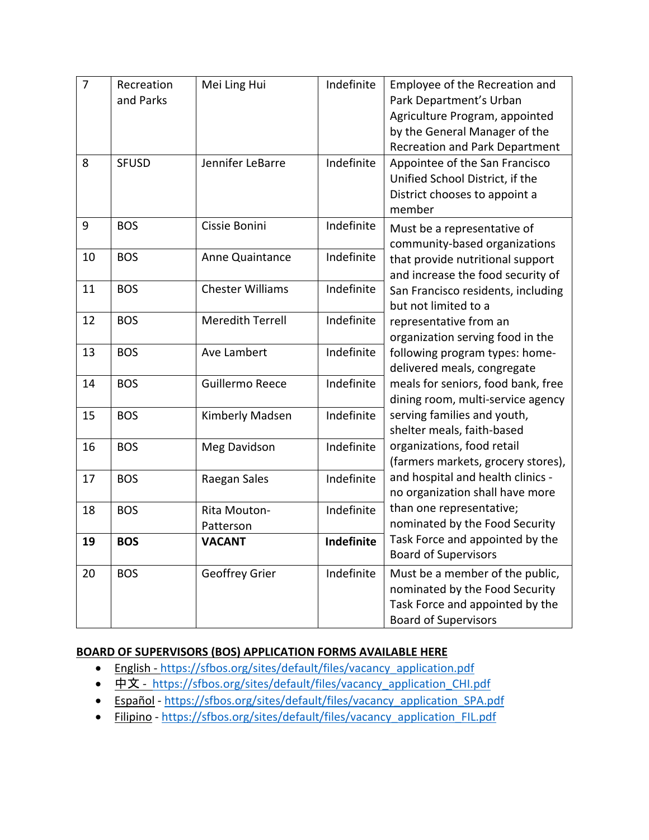| $\overline{7}$ | Recreation<br>and Parks | Mei Ling Hui              | Indefinite | Employee of the Recreation and<br>Park Department's Urban<br>Agriculture Program, appointed<br>by the General Manager of the<br><b>Recreation and Park Department</b>                                                                                                                                                                                                                                                                                                                                                                                                                                                                                                                  |
|----------------|-------------------------|---------------------------|------------|----------------------------------------------------------------------------------------------------------------------------------------------------------------------------------------------------------------------------------------------------------------------------------------------------------------------------------------------------------------------------------------------------------------------------------------------------------------------------------------------------------------------------------------------------------------------------------------------------------------------------------------------------------------------------------------|
| 8              | <b>SFUSD</b>            | Jennifer LeBarre          | Indefinite | Appointee of the San Francisco<br>Unified School District, if the<br>District chooses to appoint a<br>member                                                                                                                                                                                                                                                                                                                                                                                                                                                                                                                                                                           |
| 9              | <b>BOS</b>              | Cissie Bonini             | Indefinite | Must be a representative of<br>community-based organizations                                                                                                                                                                                                                                                                                                                                                                                                                                                                                                                                                                                                                           |
| 10             | <b>BOS</b>              | Anne Quaintance           | Indefinite | that provide nutritional support<br>and increase the food security of<br>San Francisco residents, including<br>but not limited to a<br>representative from an<br>organization serving food in the<br>following program types: home-<br>delivered meals, congregate<br>meals for seniors, food bank, free<br>dining room, multi-service agency<br>serving families and youth,<br>shelter meals, faith-based<br>organizations, food retail<br>(farmers markets, grocery stores),<br>and hospital and health clinics -<br>no organization shall have more<br>than one representative;<br>nominated by the Food Security<br>Task Force and appointed by the<br><b>Board of Supervisors</b> |
| 11             | <b>BOS</b>              | <b>Chester Williams</b>   | Indefinite |                                                                                                                                                                                                                                                                                                                                                                                                                                                                                                                                                                                                                                                                                        |
| 12             | <b>BOS</b>              | Meredith Terrell          | Indefinite |                                                                                                                                                                                                                                                                                                                                                                                                                                                                                                                                                                                                                                                                                        |
| 13             | <b>BOS</b>              | Ave Lambert               | Indefinite |                                                                                                                                                                                                                                                                                                                                                                                                                                                                                                                                                                                                                                                                                        |
| 14             | <b>BOS</b>              | Guillermo Reece           | Indefinite |                                                                                                                                                                                                                                                                                                                                                                                                                                                                                                                                                                                                                                                                                        |
| 15             | <b>BOS</b>              | Kimberly Madsen           | Indefinite |                                                                                                                                                                                                                                                                                                                                                                                                                                                                                                                                                                                                                                                                                        |
| 16             | <b>BOS</b>              | Meg Davidson              | Indefinite |                                                                                                                                                                                                                                                                                                                                                                                                                                                                                                                                                                                                                                                                                        |
| 17             | <b>BOS</b>              | Raegan Sales              | Indefinite |                                                                                                                                                                                                                                                                                                                                                                                                                                                                                                                                                                                                                                                                                        |
| 18             | <b>BOS</b>              | Rita Mouton-<br>Patterson | Indefinite |                                                                                                                                                                                                                                                                                                                                                                                                                                                                                                                                                                                                                                                                                        |
| 19             | <b>BOS</b>              | <b>VACANT</b>             | Indefinite |                                                                                                                                                                                                                                                                                                                                                                                                                                                                                                                                                                                                                                                                                        |
| 20             | <b>BOS</b>              | <b>Geoffrey Grier</b>     | Indefinite | Must be a member of the public,<br>nominated by the Food Security<br>Task Force and appointed by the<br><b>Board of Supervisors</b>                                                                                                                                                                                                                                                                                                                                                                                                                                                                                                                                                    |

## **BOARD OF SUPERVISORS (BOS) APPLICATION FORMS AVAILABLE HERE**

- English [https://sfbos.org/sites/default/files/vacancy\\_application.pdf](https://sfbos.org/sites/default/files/vacancy_application.pdf)
- [中文](https://sfbos.org/sites/default/files/vacancy_application_CHI.pdf) [https://sfbos.org/sites/default/files/vacancy\\_application\\_CHI.pdf](https://sfbos.org/sites/default/files/vacancy_application_CHI.pdf)
- [Español](https://sfbos.org/sites/default/files/vacancy_application_SPA.pdf) [https://sfbos.org/sites/default/files/vacancy\\_application\\_SPA.pdf](https://sfbos.org/sites/default/files/vacancy_application_SPA.pdf)
- [Filipino](https://sfbos.org/sites/default/files/vacancy_application_FIL.pdf) [https://sfbos.org/sites/default/files/vacancy\\_application\\_FIL.pdf](https://sfbos.org/sites/default/files/vacancy_application_FIL.pdf)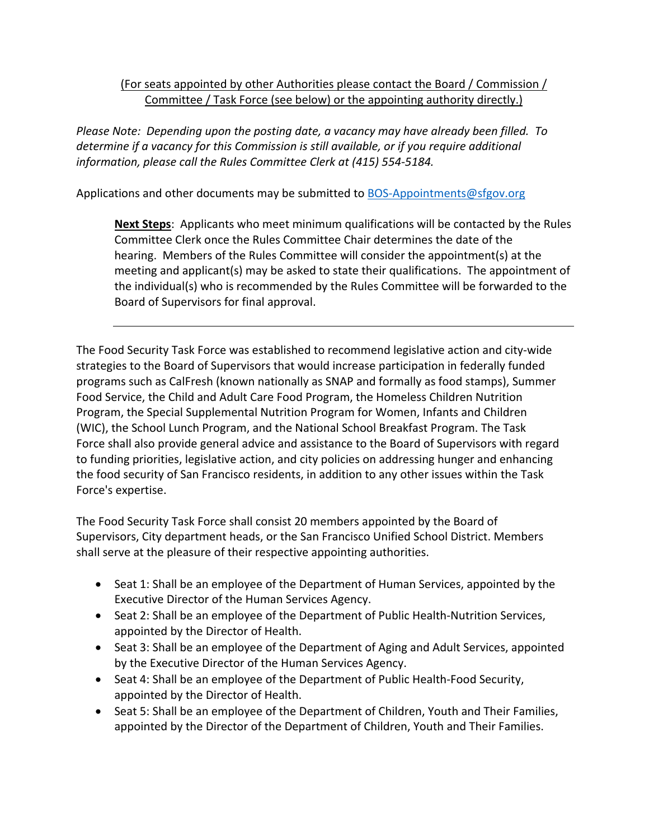## (For seats appointed by other Authorities please contact the Board / Commission / Committee / Task Force (see below) or the appointing authority directly.)

*Please Note: Depending upon the posting date, a vacancy may have already been filled. To determine if a vacancy for this Commission is still available, or if you require additional information, please call the Rules Committee Clerk at (415) 554-5184.*

Applications and other documents may be submitted to [BOS-Appointments@sfgov.org](mailto:BOS-Appointments@sfgov.org)

**Next Steps**: Applicants who meet minimum qualifications will be contacted by the Rules Committee Clerk once the Rules Committee Chair determines the date of the hearing. Members of the Rules Committee will consider the appointment(s) at the meeting and applicant(s) may be asked to state their qualifications. The appointment of the individual(s) who is recommended by the Rules Committee will be forwarded to the Board of Supervisors for final approval.

The Food Security Task Force was established to recommend legislative action and city-wide strategies to the Board of Supervisors that would increase participation in federally funded programs such as CalFresh (known nationally as SNAP and formally as food stamps), Summer Food Service, the Child and Adult Care Food Program, the Homeless Children Nutrition Program, the Special Supplemental Nutrition Program for Women, Infants and Children (WIC), the School Lunch Program, and the National School Breakfast Program. The Task Force shall also provide general advice and assistance to the Board of Supervisors with regard to funding priorities, legislative action, and city policies on addressing hunger and enhancing the food security of San Francisco residents, in addition to any other issues within the Task Force's expertise.

The Food Security Task Force shall consist 20 members appointed by the Board of Supervisors, City department heads, or the San Francisco Unified School District. Members shall serve at the pleasure of their respective appointing authorities.

- Seat 1: Shall be an employee of the Department of Human Services, appointed by the Executive Director of the Human Services Agency.
- Seat 2: Shall be an employee of the Department of Public Health-Nutrition Services, appointed by the Director of Health.
- Seat 3: Shall be an employee of the Department of Aging and Adult Services, appointed by the Executive Director of the Human Services Agency.
- Seat 4: Shall be an employee of the Department of Public Health-Food Security, appointed by the Director of Health.
- Seat 5: Shall be an employee of the Department of Children, Youth and Their Families, appointed by the Director of the Department of Children, Youth and Their Families.